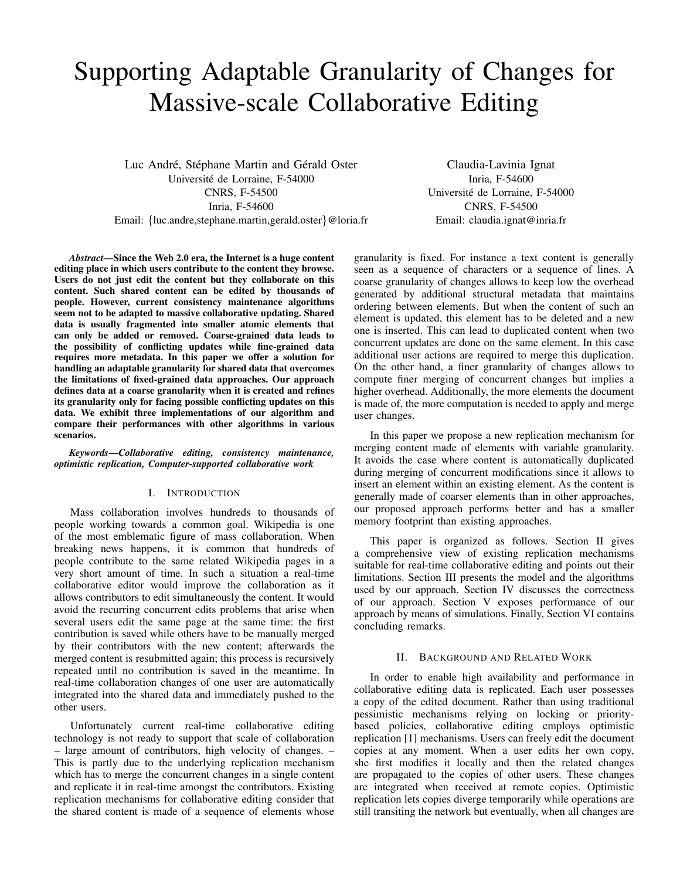# Supporting Adaptable Granularity of Changes for Massive-scale Collaborative Editing

Luc André, Stéphane Martin and Gérald Oster Universite de Lorraine, F-54000 ´ CNRS, F-54500 Inria, F-54600 Email: {luc.andre,stephane.martin,gerald.oster}@loria.fr

Claudia-Lavinia Ignat Inria, F-54600 Universite de Lorraine, F-54000 ´ CNRS, F-54500 Email: claudia.ignat@inria.fr

*Abstract*—Since the Web 2.0 era, the Internet is a huge content editing place in which users contribute to the content they browse. Users do not just edit the content but they collaborate on this content. Such shared content can be edited by thousands of people. However, current consistency maintenance algorithms seem not to be adapted to massive collaborative updating. Shared data is usually fragmented into smaller atomic elements that can only be added or removed. Coarse-grained data leads to the possibility of conflicting updates while fine-grained data requires more metadata. In this paper we offer a solution for handling an adaptable granularity for shared data that overcomes the limitations of fixed-grained data approaches. Our approach defines data at a coarse granularity when it is created and refines its granularity only for facing possible conflicting updates on this data. We exhibit three implementations of our algorithm and compare their performances with other algorithms in various scenarios.

*Keywords*—*Collaborative editing, consistency maintenance, optimistic replication, Computer-supported collaborative work*

## I. INTRODUCTION

Mass collaboration involves hundreds to thousands of people working towards a common goal. Wikipedia is one of the most emblematic figure of mass collaboration. When breaking news happens, it is common that hundreds of people contribute to the same related Wikipedia pages in a very short amount of time. In such a situation a real-time collaborative editor would improve the collaboration as it allows contributors to edit simultaneously the content. It would avoid the recurring concurrent edits problems that arise when several users edit the same page at the same time: the first contribution is saved while others have to be manually merged by their contributors with the new content; afterwards the merged content is resubmitted again; this process is recursively repeated until no contribution is saved in the meantime. In real-time collaboration changes of one user are automatically integrated into the shared data and immediately pushed to the other users.

Unfortunately current real-time collaborative editing technology is not ready to support that scale of collaboration – large amount of contributors, high velocity of changes. – This is partly due to the underlying replication mechanism which has to merge the concurrent changes in a single content and replicate it in real-time amongst the contributors. Existing replication mechanisms for collaborative editing consider that the shared content is made of a sequence of elements whose granularity is fixed. For instance a text content is generally seen as a sequence of characters or a sequence of lines. A coarse granularity of changes allows to keep low the overhead generated by additional structural metadata that maintains ordering between elements. But when the content of such an element is updated, this element has to be deleted and a new one is inserted. This can lead to duplicated content when two concurrent updates are done on the same element. In this case additional user actions are required to merge this duplication. On the other hand, a finer granularity of changes allows to compute finer merging of concurrent changes but implies a higher overhead. Additionally, the more elements the document is made of, the more computation is needed to apply and merge user changes.

In this paper we propose a new replication mechanism for merging content made of elements with variable granularity. It avoids the case where content is automatically duplicated during merging of concurrent modifications since it allows to insert an element within an existing element. As the content is generally made of coarser elements than in other approaches, our proposed approach performs better and has a smaller memory footprint than existing approaches.

This paper is organized as follows. Section [II](#page-0-0) gives a comprehensive view of existing replication mechanisms suitable for real-time collaborative editing and points out their limitations. Section [III](#page-2-0) presents the model and the algorithms used by our approach. Section [IV](#page-6-0) discusses the correctness of our approach. Section [V](#page-6-1) exposes performance of our approach by means of simulations. Finally, Section [VI](#page-9-0) contains concluding remarks.

#### II. BACKGROUND AND RELATED WORK

<span id="page-0-0"></span>In order to enable high availability and performance in collaborative editing data is replicated. Each user possesses a copy of the edited document. Rather than using traditional pessimistic mechanisms relying on locking or prioritybased policies, collaborative editing employs optimistic replication [\[1\]](#page-9-1) mechanisms. Users can freely edit the document copies at any moment. When a user edits her own copy, she first modifies it locally and then the related changes are propagated to the copies of other users. These changes are integrated when received at remote copies. Optimistic replication lets copies diverge temporarily while operations are still transiting the network but eventually, when all changes are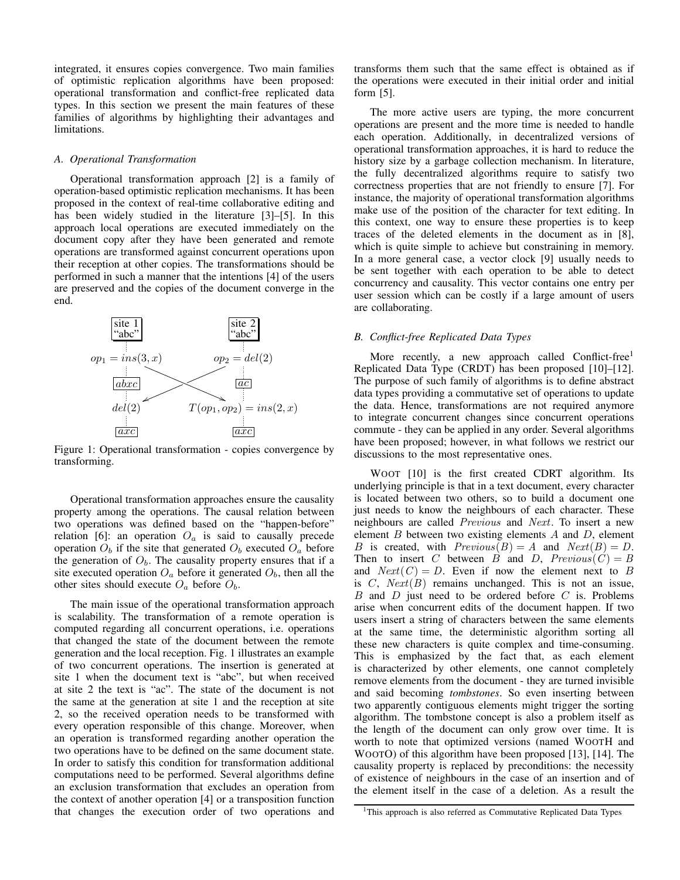integrated, it ensures copies convergence. Two main families of optimistic replication algorithms have been proposed: operational transformation and conflict-free replicated data types. In this section we present the main features of these families of algorithms by highlighting their advantages and limitations.

## *A. Operational Transformation*

Operational transformation approach [\[2\]](#page-9-2) is a family of operation-based optimistic replication mechanisms. It has been proposed in the context of real-time collaborative editing and has been widely studied in the literature [\[3\]](#page-9-3)–[\[5\]](#page-9-4). In this approach local operations are executed immediately on the document copy after they have been generated and remote operations are transformed against concurrent operations upon their reception at other copies. The transformations should be performed in such a manner that the intentions [\[4\]](#page-9-5) of the users are preserved and the copies of the document converge in the end.

<span id="page-1-0"></span>

Figure 1: Operational transformation - copies convergence by transforming.

Operational transformation approaches ensure the causality property among the operations. The causal relation between two operations was defined based on the "happen-before" relation [\[6\]](#page-9-6): an operation  $O_a$  is said to causally precede operation  $O_b$  if the site that generated  $O_b$  executed  $O_a$  before the generation of  $O<sub>b</sub>$ . The causality property ensures that if a site executed operation  $O_a$  before it generated  $O_b$ , then all the other sites should execute  $O_a$  before  $O_b$ .

The main issue of the operational transformation approach is scalability. The transformation of a remote operation is computed regarding all concurrent operations, i.e. operations that changed the state of the document between the remote generation and the local reception. Fig. [1](#page-1-0) illustrates an example of two concurrent operations. The insertion is generated at site 1 when the document text is "abc", but when received at site 2 the text is "ac". The state of the document is not the same at the generation at site 1 and the reception at site 2, so the received operation needs to be transformed with every operation responsible of this change. Moreover, when an operation is transformed regarding another operation the two operations have to be defined on the same document state. In order to satisfy this condition for transformation additional computations need to be performed. Several algorithms define an exclusion transformation that excludes an operation from the context of another operation [\[4\]](#page-9-5) or a transposition function that changes the execution order of two operations and

transforms them such that the same effect is obtained as if the operations were executed in their initial order and initial form [\[5\]](#page-9-4).

The more active users are typing, the more concurrent operations are present and the more time is needed to handle each operation. Additionally, in decentralized versions of operational transformation approaches, it is hard to reduce the history size by a garbage collection mechanism. In literature, the fully decentralized algorithms require to satisfy two correctness properties that are not friendly to ensure [\[7\]](#page-9-7). For instance, the majority of operational transformation algorithms make use of the position of the character for text editing. In this context, one way to ensure these properties is to keep traces of the deleted elements in the document as in [\[8\]](#page-9-8), which is quite simple to achieve but constraining in memory. In a more general case, a vector clock [\[9\]](#page-9-9) usually needs to be sent together with each operation to be able to detect concurrency and causality. This vector contains one entry per user session which can be costly if a large amount of users are collaborating.

#### *B. Conflict-free Replicated Data Types*

More recently, a new approach called Conflict-free<sup>[1](#page-1-1)</sup> Replicated Data Type (CRDT) has been proposed [\[10\]](#page-9-10)–[\[12\]](#page-9-11). The purpose of such family of algorithms is to define abstract data types providing a commutative set of operations to update the data. Hence, transformations are not required anymore to integrate concurrent changes since concurrent operations commute - they can be applied in any order. Several algorithms have been proposed; however, in what follows we restrict our discussions to the most representative ones.

WOOT [\[10\]](#page-9-10) is the first created CDRT algorithm. Its underlying principle is that in a text document, every character is located between two others, so to build a document one just needs to know the neighbours of each character. These neighbours are called Previous and Next. To insert a new element  $B$  between two existing elements  $A$  and  $D$ , element B is created, with  $Previous(B) = A$  and  $Next(B) = D$ . Then to insert C between B and D,  $Previous(C) = B$ and  $Next(C) = D$ . Even if now the element next to B is C,  $Next(B)$  remains unchanged. This is not an issue,  $B$  and  $D$  just need to be ordered before  $C$  is. Problems arise when concurrent edits of the document happen. If two users insert a string of characters between the same elements at the same time, the deterministic algorithm sorting all these new characters is quite complex and time-consuming. This is emphasized by the fact that, as each element is characterized by other elements, one cannot completely remove elements from the document - they are turned invisible and said becoming *tombstones*. So even inserting between two apparently contiguous elements might trigger the sorting algorithm. The tombstone concept is also a problem itself as the length of the document can only grow over time. It is worth to note that optimized versions (named WOOTH and WOOTO) of this algorithm have been proposed [\[13\]](#page-9-12), [\[14\]](#page-9-13). The causality property is replaced by preconditions: the necessity of existence of neighbours in the case of an insertion and of the element itself in the case of a deletion. As a result the

<span id="page-1-1"></span><sup>&</sup>lt;sup>1</sup>This approach is also referred as Commutative Replicated Data Types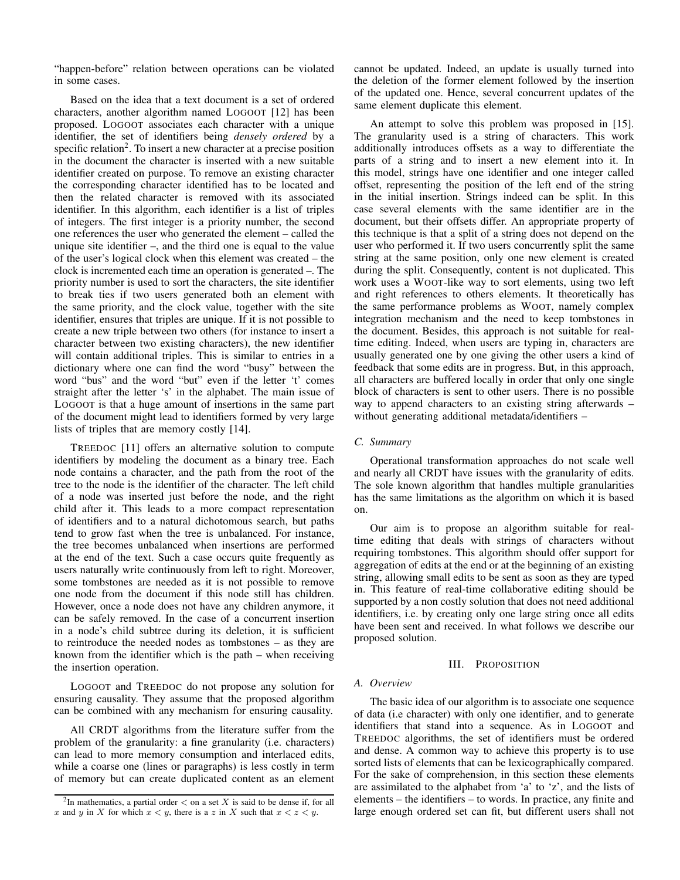"happen-before" relation between operations can be violated in some cases.

Based on the idea that a text document is a set of ordered characters, another algorithm named LOGOOT [\[12\]](#page-9-11) has been proposed. LOGOOT associates each character with a unique identifier, the set of identifiers being *densely ordered* by a specific relation<sup>[2](#page-2-1)</sup>. To insert a new character at a precise position in the document the character is inserted with a new suitable identifier created on purpose. To remove an existing character the corresponding character identified has to be located and then the related character is removed with its associated identifier. In this algorithm, each identifier is a list of triples of integers. The first integer is a priority number, the second one references the user who generated the element – called the unique site identifier –, and the third one is equal to the value of the user's logical clock when this element was created – the clock is incremented each time an operation is generated –. The priority number is used to sort the characters, the site identifier to break ties if two users generated both an element with the same priority, and the clock value, together with the site identifier, ensures that triples are unique. If it is not possible to create a new triple between two others (for instance to insert a character between two existing characters), the new identifier will contain additional triples. This is similar to entries in a dictionary where one can find the word "busy" between the word "bus" and the word "but" even if the letter 't' comes straight after the letter 's' in the alphabet. The main issue of LOGOOT is that a huge amount of insertions in the same part of the document might lead to identifiers formed by very large lists of triples that are memory costly [\[14\]](#page-9-13).

TREEDOC [\[11\]](#page-9-14) offers an alternative solution to compute identifiers by modeling the document as a binary tree. Each node contains a character, and the path from the root of the tree to the node is the identifier of the character. The left child of a node was inserted just before the node, and the right child after it. This leads to a more compact representation of identifiers and to a natural dichotomous search, but paths tend to grow fast when the tree is unbalanced. For instance, the tree becomes unbalanced when insertions are performed at the end of the text. Such a case occurs quite frequently as users naturally write continuously from left to right. Moreover, some tombstones are needed as it is not possible to remove one node from the document if this node still has children. However, once a node does not have any children anymore, it can be safely removed. In the case of a concurrent insertion in a node's child subtree during its deletion, it is sufficient to reintroduce the needed nodes as tombstones – as they are known from the identifier which is the path – when receiving the insertion operation.

LOGOOT and TREEDOC do not propose any solution for ensuring causality. They assume that the proposed algorithm can be combined with any mechanism for ensuring causality.

All CRDT algorithms from the literature suffer from the problem of the granularity: a fine granularity (i.e. characters) can lead to more memory consumption and interlaced edits, while a coarse one (lines or paragraphs) is less costly in term of memory but can create duplicated content as an element cannot be updated. Indeed, an update is usually turned into the deletion of the former element followed by the insertion of the updated one. Hence, several concurrent updates of the same element duplicate this element.

An attempt to solve this problem was proposed in [\[15\]](#page-9-15). The granularity used is a string of characters. This work additionally introduces offsets as a way to differentiate the parts of a string and to insert a new element into it. In this model, strings have one identifier and one integer called offset, representing the position of the left end of the string in the initial insertion. Strings indeed can be split. In this case several elements with the same identifier are in the document, but their offsets differ. An appropriate property of this technique is that a split of a string does not depend on the user who performed it. If two users concurrently split the same string at the same position, only one new element is created during the split. Consequently, content is not duplicated. This work uses a WOOT-like way to sort elements, using two left and right references to others elements. It theoretically has the same performance problems as WOOT, namely complex integration mechanism and the need to keep tombstones in the document. Besides, this approach is not suitable for realtime editing. Indeed, when users are typing in, characters are usually generated one by one giving the other users a kind of feedback that some edits are in progress. But, in this approach, all characters are buffered locally in order that only one single block of characters is sent to other users. There is no possible way to append characters to an existing string afterwards – without generating additional metadata/identifiers –

## *C. Summary*

Operational transformation approaches do not scale well and nearly all CRDT have issues with the granularity of edits. The sole known algorithm that handles multiple granularities has the same limitations as the algorithm on which it is based on.

Our aim is to propose an algorithm suitable for realtime editing that deals with strings of characters without requiring tombstones. This algorithm should offer support for aggregation of edits at the end or at the beginning of an existing string, allowing small edits to be sent as soon as they are typed in. This feature of real-time collaborative editing should be supported by a non costly solution that does not need additional identifiers, i.e. by creating only one large string once all edits have been sent and received. In what follows we describe our proposed solution.

## III. PROPOSITION

#### <span id="page-2-0"></span>*A. Overview*

The basic idea of our algorithm is to associate one sequence of data (i.e character) with only one identifier, and to generate identifiers that stand into a sequence. As in LOGOOT and TREEDOC algorithms, the set of identifiers must be ordered and dense. A common way to achieve this property is to use sorted lists of elements that can be lexicographically compared. For the sake of comprehension, in this section these elements are assimilated to the alphabet from 'a' to 'z', and the lists of elements – the identifiers – to words. In practice, any finite and large enough ordered set can fit, but different users shall not

<span id="page-2-1"></span><sup>&</sup>lt;sup>2</sup>In mathematics, a partial order  $\lt$  on a set X is said to be dense if, for all x and y in X for which  $x < y$ , there is a z in X such that  $x < z < y$ .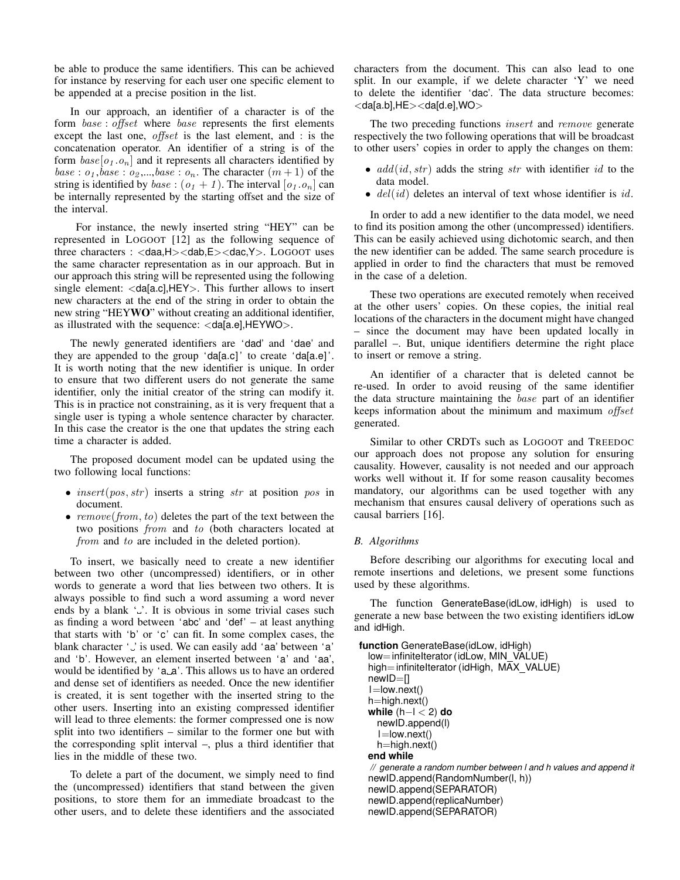be able to produce the same identifiers. This can be achieved for instance by reserving for each user one specific element to be appended at a precise position in the list.

In our approach, an identifier of a character is of the form base : offset where base represents the first elements except the last one, *offset* is the last element, and : is the concatenation operator. An identifier of a string is of the form  $base[o_1 \tcdot o_n]$  and it represents all characters identified by base :  $o_1$ , base :  $o_2$ , ..., base :  $o_n$ . The character  $(m+1)$  of the string is identified by *base* :  $(o_1 + 1)$ . The interval  $[o_1 \tcdot o_n]$  can be internally represented by the starting offset and the size of the interval.

For instance, the newly inserted string "HEY" can be represented in LOGOOT [\[12\]](#page-9-11) as the following sequence of three characters : <daa,H><dab,E><dac,Y>. LOGOOT uses the same character representation as in our approach. But in our approach this string will be represented using the following single element: <da[a.c],HEY>. This further allows to insert new characters at the end of the string in order to obtain the new string "HEYWO" without creating an additional identifier, as illustrated with the sequence: <da[a.e],HEYWO>.

The newly generated identifiers are 'dad' and 'dae' and they are appended to the group 'da[a.c]' to create 'da[a.e]'. It is worth noting that the new identifier is unique. In order to ensure that two different users do not generate the same identifier, only the initial creator of the string can modify it. This is in practice not constraining, as it is very frequent that a single user is typing a whole sentence character by character. In this case the creator is the one that updates the string each time a character is added.

The proposed document model can be updated using the two following local functions:

- insert(pos, str) inserts a string str at position pos in document.
- $remove(from, to)$  deletes the part of the text between the two positions from and to (both characters located at from and to are included in the deleted portion).

To insert, we basically need to create a new identifier between two other (uncompressed) identifiers, or in other words to generate a word that lies between two others. It is always possible to find such a word assuming a word never ends by a blank '..'. It is obvious in some trivial cases such as finding a word between 'abc' and ' $\text{def'} - \text{at least anything}$ that starts with 'b' or 'c' can fit. In some complex cases, the blank character '..' is used. We can easily add 'aa' between 'a' and 'b'. However, an element inserted between 'a' and 'aa', would be identified by 'a<sup>2</sup>. This allows us to have an ordered and dense set of identifiers as needed. Once the new identifier is created, it is sent together with the inserted string to the other users. Inserting into an existing compressed identifier will lead to three elements: the former compressed one is now split into two identifiers – similar to the former one but with the corresponding split interval –, plus a third identifier that lies in the middle of these two.

To delete a part of the document, we simply need to find the (uncompressed) identifiers that stand between the given positions, to store them for an immediate broadcast to the other users, and to delete these identifiers and the associated characters from the document. This can also lead to one split. In our example, if we delete character 'Y' we need to delete the identifier 'dac'. The data structure becomes: <da[a.b],HE><da[d.e],WO>

The two preceding functions *insert* and *remove* generate respectively the two following operations that will be broadcast to other users' copies in order to apply the changes on them:

- $add(id, str)$  adds the string str with identifier id to the data model.
- $del(id)$  deletes an interval of text whose identifier is id.

In order to add a new identifier to the data model, we need to find its position among the other (uncompressed) identifiers. This can be easily achieved using dichotomic search, and then the new identifier can be added. The same search procedure is applied in order to find the characters that must be removed in the case of a deletion.

These two operations are executed remotely when received at the other users' copies. On these copies, the initial real locations of the characters in the document might have changed – since the document may have been updated locally in parallel –. But, unique identifiers determine the right place to insert or remove a string.

An identifier of a character that is deleted cannot be re-used. In order to avoid reusing of the same identifier the data structure maintaining the base part of an identifier keeps information about the minimum and maximum offset generated.

Similar to other CRDTs such as LOGOOT and TREEDOC our approach does not propose any solution for ensuring causality. However, causality is not needed and our approach works well without it. If for some reason causality becomes mandatory, our algorithms can be used together with any mechanism that ensures causal delivery of operations such as causal barriers [\[16\]](#page-9-16).

## *B. Algorithms*

Before describing our algorithms for executing local and remote insertions and deletions, we present some functions used by these algorithms.

The function GenerateBase(idLow, idHigh) is used to generate a new base between the two existing identifiers idLow and idHigh.

```
function GenerateBase(idLow, idHigh)
  low=infiniteIterator (idLow, MIN VALUE)
 high=infiniteIterator (idHigh, MAX_VALUE)
 newID=[]
  l =low.next(l)h=high.next()
 while (h−l < 2) do
   newID.append(l)
    l =low.next(l)h=high.next()
 end while
  // generate a random number between l and h values and append it
 newID.append(RandomNumber(l, h))
 newID.append(SEPARATOR)
 newID.append(replicaNumber)
 newID.append(SEPARATOR)
```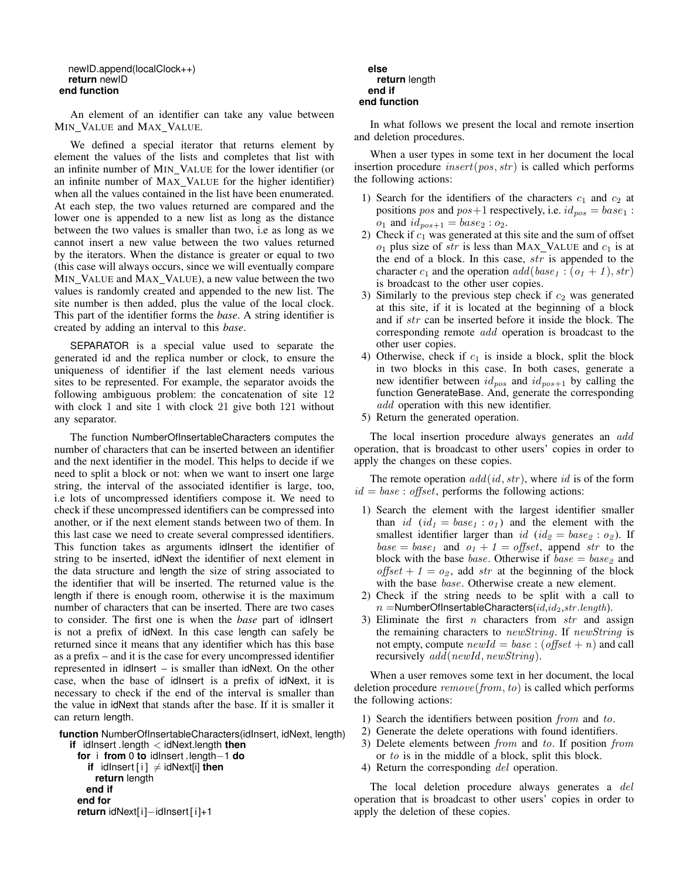#### newID.append(localClock++) **return** newID **end function**

An element of an identifier can take any value between MIN\_VALUE and MAX\_VALUE.

We defined a special iterator that returns element by element the values of the lists and completes that list with an infinite number of MIN\_VALUE for the lower identifier (or an infinite number of MAX\_VALUE for the higher identifier) when all the values contained in the list have been enumerated. At each step, the two values returned are compared and the lower one is appended to a new list as long as the distance between the two values is smaller than two, i.e as long as we cannot insert a new value between the two values returned by the iterators. When the distance is greater or equal to two (this case will always occurs, since we will eventually compare MIN\_VALUE and MAX\_VALUE), a new value between the two values is randomly created and appended to the new list. The site number is then added, plus the value of the local clock. This part of the identifier forms the *base*. A string identifier is created by adding an interval to this *base*.

SEPARATOR is a special value used to separate the generated id and the replica number or clock, to ensure the uniqueness of identifier if the last element needs various sites to be represented. For example, the separator avoids the following ambiguous problem: the concatenation of site 12 with clock 1 and site 1 with clock 21 give both 121 without any separator.

The function NumberOfInsertableCharacters computes the number of characters that can be inserted between an identifier and the next identifier in the model. This helps to decide if we need to split a block or not: when we want to insert one large string, the interval of the associated identifier is large, too, i.e lots of uncompressed identifiers compose it. We need to check if these uncompressed identifiers can be compressed into another, or if the next element stands between two of them. In this last case we need to create several compressed identifiers. This function takes as arguments idInsert the identifier of string to be inserted, idNext the identifier of next element in the data structure and length the size of string associated to the identifier that will be inserted. The returned value is the length if there is enough room, otherwise it is the maximum number of characters that can be inserted. There are two cases to consider. The first one is when the *base* part of idInsert is not a prefix of idNext. In this case length can safely be returned since it means that any identifier which has this base as a prefix – and it is the case for every uncompressed identifier represented in idInsert – is smaller than idNext. On the other case, when the base of idInsert is a prefix of idNext, it is necessary to check if the end of the interval is smaller than the value in idNext that stands after the base. If it is smaller it can return length.

**function** NumberOfInsertableCharacters(idInsert, idNext, length) **if** idInsert .length < idNext.length **then**

```
for i from 0 to idInsert .length−1 do
  if idInsert [i] \neq idNext[i] then
    return length
  end if
end for
return idNext[ i]−idInsert[ i]+1
```
#### **else return** length **end if end function**

In what follows we present the local and remote insertion and deletion procedures.

When a user types in some text in her document the local insertion procedure  $insert(pos, str)$  is called which performs the following actions:

- 1) Search for the identifiers of the characters  $c_1$  and  $c_2$  at positions *pos* and *pos*+1 respectively, i.e.  $id_{pos} = base_1$ :  $o_1$  and  $id_{pos+1} = base_2 : o_2$ .
- 2) Check if  $c_1$  was generated at this site and the sum of offset  $o_1$  plus size of str is less than MAX\_VALUE and  $c_1$  is at the end of a block. In this case,  $str$  is appended to the character  $c_1$  and the operation  $add(base_1 : (o_1 + 1), str)$ is broadcast to the other user copies.
- 3) Similarly to the previous step check if  $c_2$  was generated at this site, if it is located at the beginning of a block and if str can be inserted before it inside the block. The corresponding remote add operation is broadcast to the other user copies.
- 4) Otherwise, check if  $c_1$  is inside a block, split the block in two blocks in this case. In both cases, generate a new identifier between  $id_{pos}$  and  $id_{pos+1}$  by calling the function GenerateBase. And, generate the corresponding add operation with this new identifier.
- 5) Return the generated operation.

The local insertion procedure always generates an *add* operation, that is broadcast to other users' copies in order to apply the changes on these copies.

The remote operation  $add(id, str)$ , where id is of the form  $id = base : offset$ , performs the following actions:

- 1) Search the element with the largest identifier smaller than id  $(id_1 = base_1 : o_1)$  and the element with the smallest identifier larger than id (id<sub>2</sub> = base<sub>2</sub> :  $o_2$ ). If  $base = base_1$  and  $o_1 + 1 = offset$ , append str to the block with the base base. Otherwise if  $base = base_2$  and offset + 1 =  $o_2$ , add str at the beginning of the block with the base *base*. Otherwise create a new element.
- 2) Check if the string needs to be split with a call to  $n =$ NumberOfInsertableCharacters( $id, id_2, str.length$ ).
- 3) Eliminate the first  $n$  characters from  $str$  and assign the remaining characters to newString. If newString is not empty, compute  $newId = base : (offset + n)$  and call recursively add(newId, newString).

When a user removes some text in her document, the local deletion procedure  $remove(from, to)$  is called which performs the following actions:

- 1) Search the identifiers between position from and to.
- 2) Generate the delete operations with found identifiers.
- 3) Delete elements between from and to. If position from or to is in the middle of a block, split this block.
- 4) Return the corresponding del operation.

The local deletion procedure always generates a del operation that is broadcast to other users' copies in order to apply the deletion of these copies.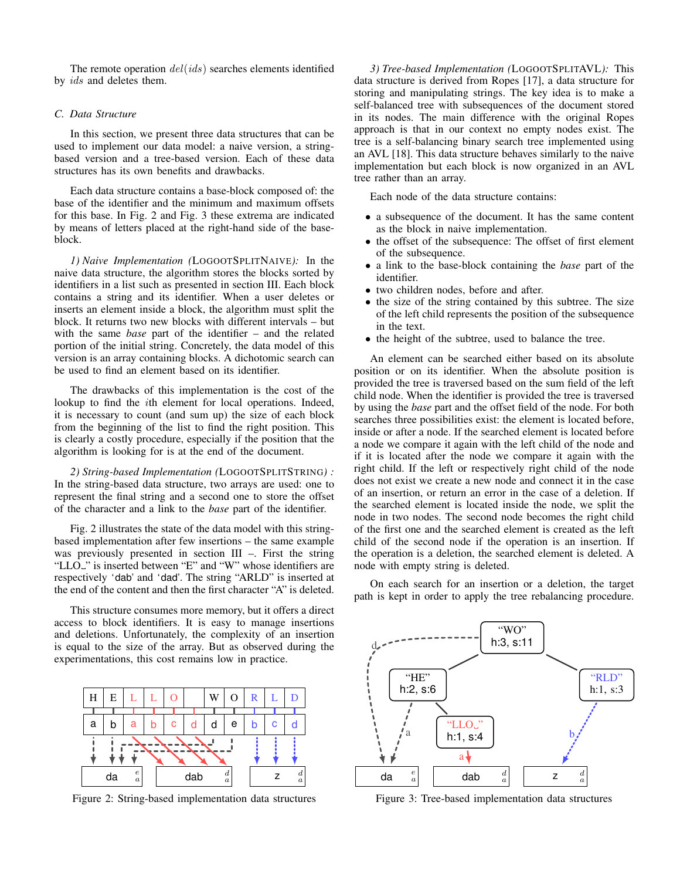The remote operation  $del(ids)$  searches elements identified by ids and deletes them.

#### *C. Data Structure*

In this section, we present three data structures that can be used to implement our data model: a naive version, a stringbased version and a tree-based version. Each of these data structures has its own benefits and drawbacks.

Each data structure contains a base-block composed of: the base of the identifier and the minimum and maximum offsets for this base. In Fig. [2](#page-5-0) and Fig. [3](#page-5-1) these extrema are indicated by means of letters placed at the right-hand side of the baseblock.

*1) Naive Implementation (*LOGOOTSPLITNAIVE*):* In the naive data structure, the algorithm stores the blocks sorted by identifiers in a list such as presented in section [III.](#page-2-0) Each block contains a string and its identifier. When a user deletes or inserts an element inside a block, the algorithm must split the block. It returns two new blocks with different intervals – but with the same *base* part of the identifier – and the related portion of the initial string. Concretely, the data model of this version is an array containing blocks. A dichotomic search can be used to find an element based on its identifier.

The drawbacks of this implementation is the cost of the lookup to find the ith element for local operations. Indeed, it is necessary to count (and sum up) the size of each block from the beginning of the list to find the right position. This is clearly a costly procedure, especially if the position that the algorithm is looking for is at the end of the document.

*2) String-based Implementation (*LOGOOTSPLITSTRING*) :* In the string-based data structure, two arrays are used: one to represent the final string and a second one to store the offset of the character and a link to the *base* part of the identifier.

Fig. [2](#page-5-0) illustrates the state of the data model with this stringbased implementation after few insertions – the same example was previously presented in section  $III$  –. First the string "LLO" is inserted between "E" and "W" whose identifiers are respectively 'dab' and 'dad'. The string "ARLD" is inserted at the end of the content and then the first character "A" is deleted.

This structure consumes more memory, but it offers a direct access to block identifiers. It is easy to manage insertions and deletions. Unfortunately, the complexity of an insertion is equal to the size of the array. But as observed during the experimentations, this cost remains low in practice.

<span id="page-5-0"></span>

Figure 2: String-based implementation data structures

*3) Tree-based Implementation (*LOGOOTSPLITAVL*):* This data structure is derived from Ropes [\[17\]](#page-9-17), a data structure for storing and manipulating strings. The key idea is to make a self-balanced tree with subsequences of the document stored in its nodes. The main difference with the original Ropes approach is that in our context no empty nodes exist. The tree is a self-balancing binary search tree implemented using an AVL [\[18\]](#page-9-18). This data structure behaves similarly to the naive implementation but each block is now organized in an AVL tree rather than an array.

Each node of the data structure contains:

- a subsequence of the document. It has the same content as the block in naive implementation.
- the offset of the subsequence: The offset of first element of the subsequence.
- a link to the base-block containing the *base* part of the identifier.
- two children nodes, before and after.
- the size of the string contained by this subtree. The size of the left child represents the position of the subsequence in the text.
- the height of the subtree, used to balance the tree.

An element can be searched either based on its absolute position or on its identifier. When the absolute position is provided the tree is traversed based on the sum field of the left child node. When the identifier is provided the tree is traversed by using the *base* part and the offset field of the node. For both searches three possibilities exist: the element is located before, inside or after a node. If the searched element is located before a node we compare it again with the left child of the node and if it is located after the node we compare it again with the right child. If the left or respectively right child of the node does not exist we create a new node and connect it in the case of an insertion, or return an error in the case of a deletion. If the searched element is located inside the node, we split the node in two nodes. The second node becomes the right child of the first one and the searched element is created as the left child of the second node if the operation is an insertion. If the operation is a deletion, the searched element is deleted. A node with empty string is deleted.

On each search for an insertion or a deletion, the target path is kept in order to apply the tree rebalancing procedure.

<span id="page-5-1"></span>

Figure 3: Tree-based implementation data structures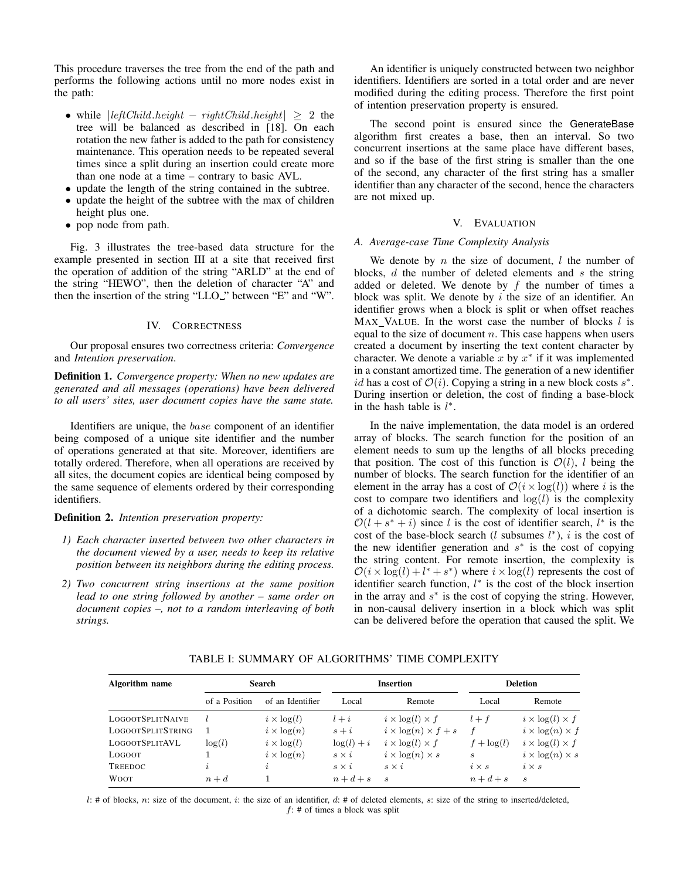This procedure traverses the tree from the end of the path and performs the following actions until no more nodes exist in the path:

- while  $|leftChild.height rightChild.height \geq 2$  the tree will be balanced as described in [\[18\]](#page-9-18). On each rotation the new father is added to the path for consistency maintenance. This operation needs to be repeated several times since a split during an insertion could create more than one node at a time – contrary to basic AVL.
- update the length of the string contained in the subtree.
- update the height of the subtree with the max of children height plus one.
- pop node from path.

Fig. [3](#page-5-1) illustrates the tree-based data structure for the example presented in section [III](#page-2-0) at a site that received first the operation of addition of the string "ARLD" at the end of the string "HEWO", then the deletion of character "A" and then the insertion of the string "LLO " between "E" and "W".

# IV. CORRECTNESS

<span id="page-6-0"></span>Our proposal ensures two correctness criteria: *Convergence* and *Intention preservation*.

Definition 1. *Convergence property: When no new updates are generated and all messages (operations) have been delivered to all users' sites, user document copies have the same state.*

Identifiers are unique, the base component of an identifier being composed of a unique site identifier and the number of operations generated at that site. Moreover, identifiers are totally ordered. Therefore, when all operations are received by all sites, the document copies are identical being composed by the same sequence of elements ordered by their corresponding identifiers.

Definition 2. *Intention preservation property:*

- *1) Each character inserted between two other characters in the document viewed by a user, needs to keep its relative position between its neighbors during the editing process.*
- *2) Two concurrent string insertions at the same position lead to one string followed by another – same order on document copies –, not to a random interleaving of both strings.*

An identifier is uniquely constructed between two neighbor identifiers. Identifiers are sorted in a total order and are never modified during the editing process. Therefore the first point of intention preservation property is ensured.

The second point is ensured since the GenerateBase algorithm first creates a base, then an interval. So two concurrent insertions at the same place have different bases, and so if the base of the first string is smaller than the one of the second, any character of the first string has a smaller identifier than any character of the second, hence the characters are not mixed up.

# V. EVALUATION

## <span id="page-6-1"></span>*A. Average-case Time Complexity Analysis*

We denote by n the size of document,  $l$  the number of blocks,  $d$  the number of deleted elements and  $s$  the string added or deleted. We denote by  $f$  the number of times a block was split. We denote by  $i$  the size of an identifier. An identifier grows when a block is split or when offset reaches MAX\_VALUE. In the worst case the number of blocks  $l$  is equal to the size of document  $n$ . This case happens when users created a document by inserting the text content character by character. We denote a variable x by  $x^*$  if it was implemented in a constant amortized time. The generation of a new identifier id has a cost of  $\mathcal{O}(i)$ . Copying a string in a new block costs  $s^*$ . During insertion or deletion, the cost of finding a base-block in the hash table is  $l^*$ .

In the naive implementation, the data model is an ordered array of blocks. The search function for the position of an element needs to sum up the lengths of all blocks preceding that position. The cost of this function is  $\mathcal{O}(l)$ , l being the number of blocks. The search function for the identifier of an element in the array has a cost of  $\mathcal{O}(i \times \log(l))$  where i is the cost to compare two identifiers and  $log(l)$  is the complexity of a dichotomic search. The complexity of local insertion is  $O(l + s^* + i)$  since l is the cost of identifier search, l<sup>\*</sup> is the cost of the base-block search (*l* subsumes  $l^*$ ), *i* is the cost of the new identifier generation and  $s^*$  is the cost of copying the string content. For remote insertion, the complexity is  $\mathcal{O}(i \times \log(l) + l^* + s^*)$  where  $i \times \log(l)$  represents the cost of identifier search function,  $l^*$  is the cost of the block insertion in the array and  $s^*$  is the cost of copying the string. However, in non-causal delivery insertion in a block which was split can be delivered before the operation that caused the split. We

| TABLE I: SUMMARY OF ALGORITHMS' TIME COMPLEXITY |  |
|-------------------------------------------------|--|
|                                                 |  |

<span id="page-6-2"></span>

| Algorithm name           |               | Search              |               | Insertion                       | <b>Deletion</b> |                             |
|--------------------------|---------------|---------------------|---------------|---------------------------------|-----------------|-----------------------------|
|                          | of a Position | of an Identifier    | Local         | Remote                          | Local           | Remote                      |
| <b>LOGOOTSPLITNAIVE</b>  |               | $i \times \log(l)$  | $l + i$       | $i \times \log(l) \times f$     | $l+f$           | $i \times \log(l) \times f$ |
| <b>LOGOOTSPLITSTRING</b> |               | $i \times \log(n)$  | $s + i$       | $i \times \log(n) \times f + s$ | f               | $i \times \log(n) \times f$ |
| <b>LOGOOTSPLITAVL</b>    | log(l)        | $i \times \log(l)$  | $\log(l) + i$ | $i \times \log(l) \times f$     | $f + \log(l)$   | $i \times \log(l) \times f$ |
| LOGOOT                   |               | $i \times \log(n)$  | $s \times i$  | $i \times \log(n) \times s$     | S               | $i \times \log(n) \times s$ |
| <b>TREEDOC</b>           | i             | $\boldsymbol{\eta}$ | $s \times i$  | $s \times i$                    | $i \times s$    | $i \times s$                |
| WOOT                     | $n+d$         |                     | $n+d+s$       | $\boldsymbol{s}$                | $n+d+s$         | S                           |

 $l:$  # of blocks, n: size of the document, i: the size of an identifier,  $d:$  # of deleted elements, s: size of the string to inserted/deleted,  $f:$  # of times a block was split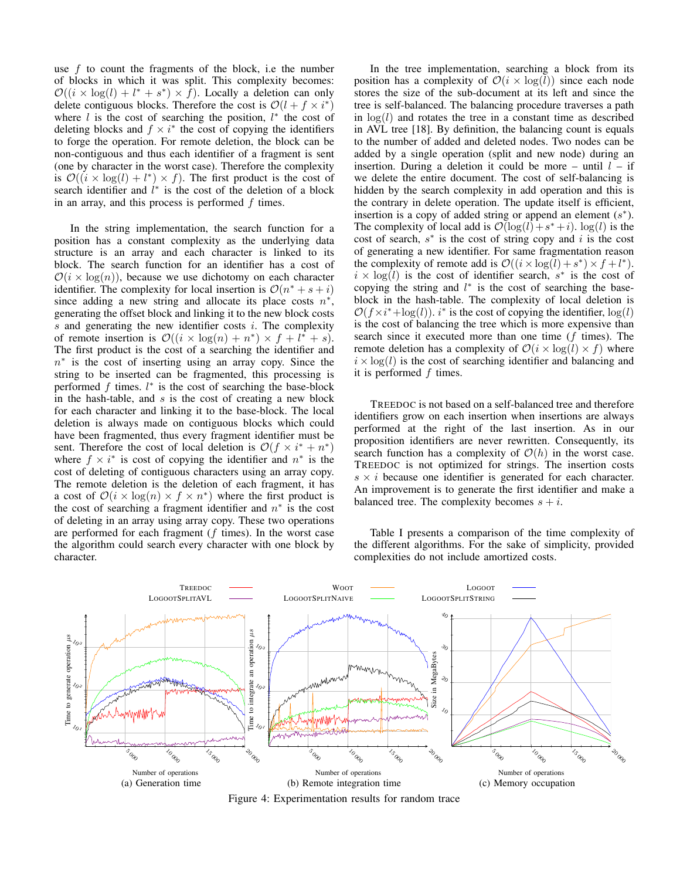use  $f$  to count the fragments of the block, i.e the number of blocks in which it was split. This complexity becomes:  $\mathcal{O}((i \times \log(l) + l^* + s^*) \times \hat{f})$ . Locally a deletion can only delete contiguous blocks. Therefore the cost is  $O(l + f \times i^*)$ where  $l$  is the cost of searching the position,  $l^*$  the cost of deleting blocks and  $f \times i^*$  the cost of copying the identifiers to forge the operation. For remote deletion, the block can be non-contiguous and thus each identifier of a fragment is sent (one by character in the worst case). Therefore the complexity is  $\mathcal{O}((i \times \log(l) + l^*) \times f)$ . The first product is the cost of search identifier and  $\hat{l}^*$  is the cost of the deletion of a block in an array, and this process is performed  $f$  times.

In the string implementation, the search function for a position has a constant complexity as the underlying data structure is an array and each character is linked to its block. The search function for an identifier has a cost of  $\mathcal{O}(i \times \log(n))$ , because we use dichotomy on each character identifier. The complexity for local insertion is  $\mathcal{O}(n^* + s + i)$ since adding a new string and allocate its place costs  $n^*$ , generating the offset block and linking it to the new block costs s and generating the new identifier costs  $i$ . The complexity of remote insertion is  $\mathcal{O}((i \times \log(n) + n^*) \times f + l^* + s)$ . The first product is the cost of a searching the identifier and  $n^*$  is the cost of inserting using an array copy. Since the string to be inserted can be fragmented, this processing is performed  $f$  times.  $l^*$  is the cost of searching the base-block in the hash-table, and  $s$  is the cost of creating a new block for each character and linking it to the base-block. The local deletion is always made on contiguous blocks which could have been fragmented, thus every fragment identifier must be sent. Therefore the cost of local deletion is  $\mathcal{O}(f \times i^* + n^*)$ where  $f \times i^*$  is cost of copying the identifier and  $n^*$  is the cost of deleting of contiguous characters using an array copy. The remote deletion is the deletion of each fragment, it has a cost of  $\mathcal{O}(i \times \log(n) \times f \times n^*)$  where the first product is the cost of searching a fragment identifier and  $n^*$  is the cost of deleting in an array using array copy. These two operations are performed for each fragment  $(f$  times). In the worst case the algorithm could search every character with one block by character.

In the tree implementation, searching a block from its position has a complexity of  $\mathcal{O}(i \times \log(l))$  since each node stores the size of the sub-document at its left and since the tree is self-balanced. The balancing procedure traverses a path in  $log(l)$  and rotates the tree in a constant time as described in AVL tree [\[18\]](#page-9-18). By definition, the balancing count is equals to the number of added and deleted nodes. Two nodes can be added by a single operation (split and new node) during an insertion. During a deletion it could be more – until  $l - if$ we delete the entire document. The cost of self-balancing is hidden by the search complexity in add operation and this is the contrary in delete operation. The update itself is efficient, insertion is a copy of added string or append an element  $(s^*)$ . The complexity of local add is  $\mathcal{O}(\log(l) + s^* + i)$ .  $\log(l)$  is the cost of search,  $s^*$  is the cost of string copy and i is the cost of generating a new identifier. For same fragmentation reason the complexity of remote add is  $\mathcal{O}((i \times \log(l) + s^*) \times f + l^*)$ .  $i \times \log(l)$  is the cost of identifier search, s<sup>\*</sup> is the cost of copying the string and  $l^*$  is the cost of searching the baseblock in the hash-table. The complexity of local deletion is  $\mathcal{O}(f \times i^* + \log(l))$ . *i*<sup>\*</sup> is the cost of copying the identifier,  $\log(l)$ is the cost of balancing the tree which is more expensive than search since it executed more than one time  $(f$  times). The remote deletion has a complexity of  $\mathcal{O}(i \times \log(l) \times f)$  where  $i \times \log(l)$  is the cost of searching identifier and balancing and it is performed  $f$  times.

TREEDOC is not based on a self-balanced tree and therefore identifiers grow on each insertion when insertions are always performed at the right of the last insertion. As in our proposition identifiers are never rewritten. Consequently, its search function has a complexity of  $\mathcal{O}(h)$  in the worst case. TREEDOC is not optimized for strings. The insertion costs  $s \times i$  because one identifier is generated for each character. An improvement is to generate the first identifier and make a balanced tree. The complexity becomes  $s + i$ .

Table [I](#page-6-2) presents a comparison of the time complexity of the different algorithms. For the sake of simplicity, provided complexities do not include amortized costs.

<span id="page-7-0"></span>

Figure 4: Experimentation results for random trace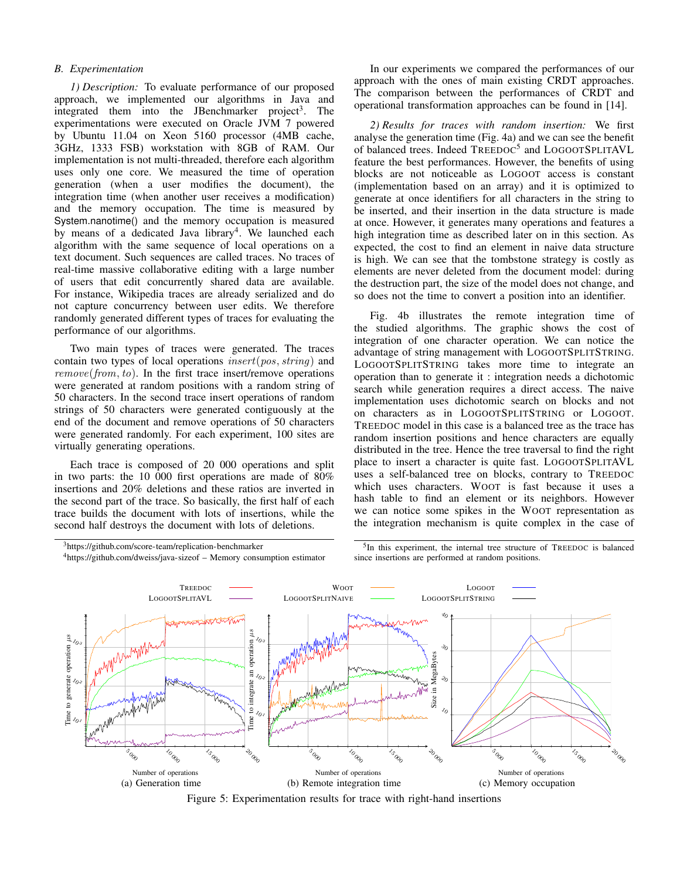## *B. Experimentation*

*1) Description:* To evaluate performance of our proposed approach, we implemented our algorithms in Java and integrated them into the JBenchmarker project<sup>[3](#page-8-0)</sup>. The experimentations were executed on Oracle JVM 7 powered by Ubuntu 11.04 on Xeon 5160 processor (4MB cache, 3GHz, 1333 FSB) workstation with 8GB of RAM. Our implementation is not multi-threaded, therefore each algorithm uses only one core. We measured the time of operation generation (when a user modifies the document), the integration time (when another user receives a modification) and the memory occupation. The time is measured by System.nanotime() and the memory occupation is measured by means of a dedicated Java library<sup>[4](#page-8-1)</sup>. We launched each algorithm with the same sequence of local operations on a text document. Such sequences are called traces. No traces of real-time massive collaborative editing with a large number of users that edit concurrently shared data are available. For instance, Wikipedia traces are already serialized and do not capture concurrency between user edits. We therefore randomly generated different types of traces for evaluating the performance of our algorithms.

Two main types of traces were generated. The traces contain two types of local operations insert(pos, string) and  $remove(from, to)$ . In the first trace insert/remove operations were generated at random positions with a random string of 50 characters. In the second trace insert operations of random strings of 50 characters were generated contiguously at the end of the document and remove operations of 50 characters were generated randomly. For each experiment, 100 sites are virtually generating operations.

Each trace is composed of 20 000 operations and split in two parts: the 10 000 first operations are made of 80% insertions and 20% deletions and these ratios are inverted in the second part of the trace. So basically, the first half of each trace builds the document with lots of insertions, while the second half destroys the document with lots of deletions.

In our experiments we compared the performances of our approach with the ones of main existing CRDT approaches. The comparison between the performances of CRDT and operational transformation approaches can be found in [\[14\]](#page-9-13).

*2) Results for traces with random insertion:* We first analyse the generation time (Fig. [4a\)](#page-7-0) and we can see the benefit of balanced trees. Indeed TREEDOC<sup>[5](#page-8-2)</sup> and LOGOOTSPLITAVL feature the best performances. However, the benefits of using blocks are not noticeable as LOGOOT access is constant (implementation based on an array) and it is optimized to generate at once identifiers for all characters in the string to be inserted, and their insertion in the data structure is made at once. However, it generates many operations and features a high integration time as described later on in this section. As expected, the cost to find an element in naive data structure is high. We can see that the tombstone strategy is costly as elements are never deleted from the document model: during the destruction part, the size of the model does not change, and so does not the time to convert a position into an identifier.

Fig. [4b](#page-7-0) illustrates the remote integration time of the studied algorithms. The graphic shows the cost of integration of one character operation. We can notice the advantage of string management with LOGOOTSPLITSTRING. LOGOOTSPLITSTRING takes more time to integrate an operation than to generate it : integration needs a dichotomic search while generation requires a direct access. The naive implementation uses dichotomic search on blocks and not on characters as in LOGOOTSPLITSTRING or LOGOOT. TREEDOC model in this case is a balanced tree as the trace has random insertion positions and hence characters are equally distributed in the tree. Hence the tree traversal to find the right place to insert a character is quite fast. LOGOOTSPLITAVL uses a self-balanced tree on blocks, contrary to TREEDOC which uses characters. WOOT is fast because it uses a hash table to find an element or its neighbors. However we can notice some spikes in the WOOT representation as the integration mechanism is quite complex in the case of

<span id="page-8-0"></span>

<span id="page-8-1"></span><sup>4</sup><https://github.com/dweiss/java-sizeof> – Memory consumption estimator

<span id="page-8-2"></span><sup>5</sup>In this experiment, the internal tree structure of TREEDOC is balanced since insertions are performed at random positions.



Figure 5: Experimentation results for trace with right-hand insertions